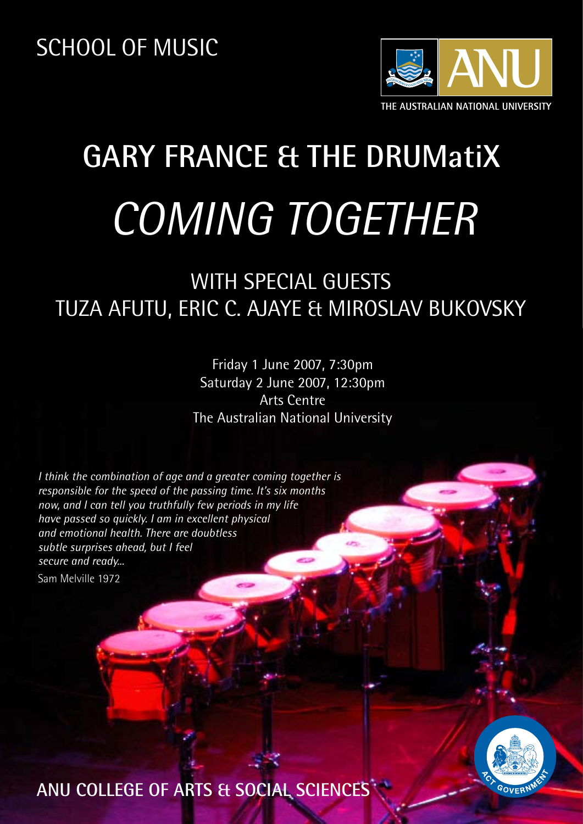

# **GARY FRANCE & THE DRUMatiX** *COMING TOGETHER*

# WITH SPECIAL GUESTS TUZA AFUTU, ERIC C. AJAYE & MIROSLAV BUKOVSKY

Friday 1 June 2007, 7:30pm Saturday 2 June 2007, 12:30pm Arts Centre The Australian National University

*I think the combination of age and a greater coming together is responsible for the speed of the passing time. It's six months now, and I can tell you truthfully few periods in my life have passed so quickly. I am in excellent physical and emotional health. There are doubtless subtle surprises ahead, but I feel secure and ready...*

Sam Melville 1972



**ANU COLLEGE OF ARTS & SOCIAL SCIENCES**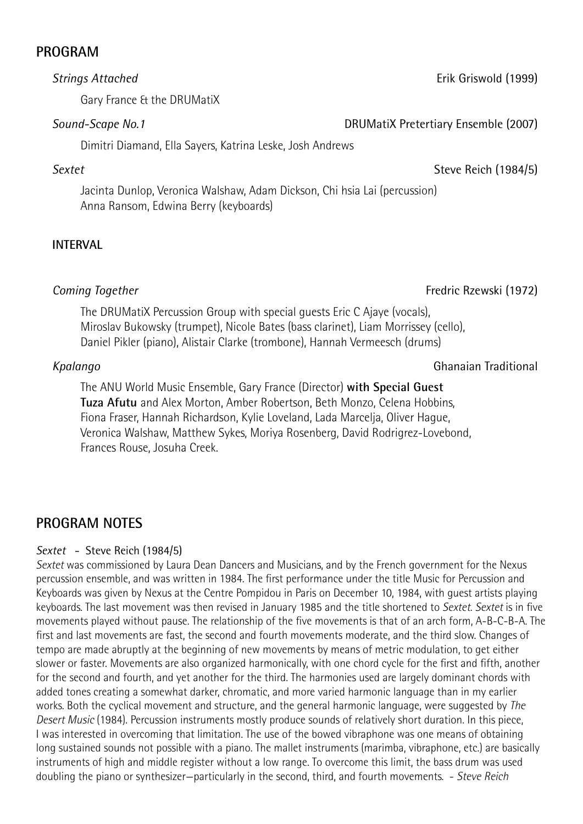## **PROGRAM**

#### *Strings Attached*

Gary France & the DRUMatiX

#### *Sound-Scape No.1*

Dimitri Diamand, Ella Sayers, Katrina Leske, Josh Andrews

## *Sextet*

Jacinta Dunlop, Veronica Walshaw, Adam Dickson, Chi hsia Lai (percussion) Anna Ransom, Edwina Berry (keyboards)

# **INTERVAL**

# *Coming Together*

The DRUMatiX Percussion Group with special guests Eric C Ajaye (vocals), Miroslav Bukowsky (trumpet), Nicole Bates (bass clarinet), Liam Morrissey (cello), Daniel Pikler (piano), Alistair Clarke (trombone), Hannah Vermeesch (drums)

#### *Kpalango*

The ANU World Music Ensemble, Gary France (Director) **with Special Guest Tuza Afutu** and Alex Morton, Amber Robertson, Beth Monzo, Celena Hobbins, Fiona Fraser, Hannah Richardson, Kylie Loveland, Lada Marcelja, Oliver Hague, Veronica Walshaw, Matthew Sykes, Moriya Rosenberg, David Rodrigrez-Lovebond, Frances Rouse, Josuha Creek.

# **PROGRAM NOTES**

#### *Sextet* - Steve Reich (1984/5)

*Sextet* was commissioned by Laura Dean Dancers and Musicians, and by the French government for the Nexus percussion ensemble, and was written in 1984. The first performance under the title Music for Percussion and Keyboards was given by Nexus at the Centre Pompidou in Paris on December 10, 1984, with guest artists playing keyboards. The last movement was then revised in January 1985 and the title shortened to *Sextet*. *Sextet* is in five movements played without pause. The relationship of the five movements is that of an arch form, A-B-C-B-A. The first and last movements are fast, the second and fourth movements moderate, and the third slow. Changes of tempo are made abruptly at the beginning of new movements by means of metric modulation, to get either slower or faster. Movements are also organized harmonically, with one chord cycle for the first and fifth, another for the second and fourth, and yet another for the third. The harmonies used are largely dominant chords with added tones creating a somewhat darker, chromatic, and more varied harmonic language than in my earlier works. Both the cyclical movement and structure, and the general harmonic language, were suggested by *The Desert Music* (1984). Percussion instruments mostly produce sounds of relatively short duration. In this piece, I was interested in overcoming that limitation. The use of the bowed vibraphone was one means of obtaining long sustained sounds not possible with a piano. The mallet instruments (marimba, vibraphone, etc.) are basically instruments of high and middle register without a low range. To overcome this limit, the bass drum was used doubling the piano or synthesizer—particularly in the second, third, and fourth movements. - *Steve Reich*

Erik Griswold (1999)

DRUMatiX Pretertiary Ensemble (2007)

#### Steve Reich (1984/5)

Fredric Rzewski (1972)

#### Ghanaian Traditional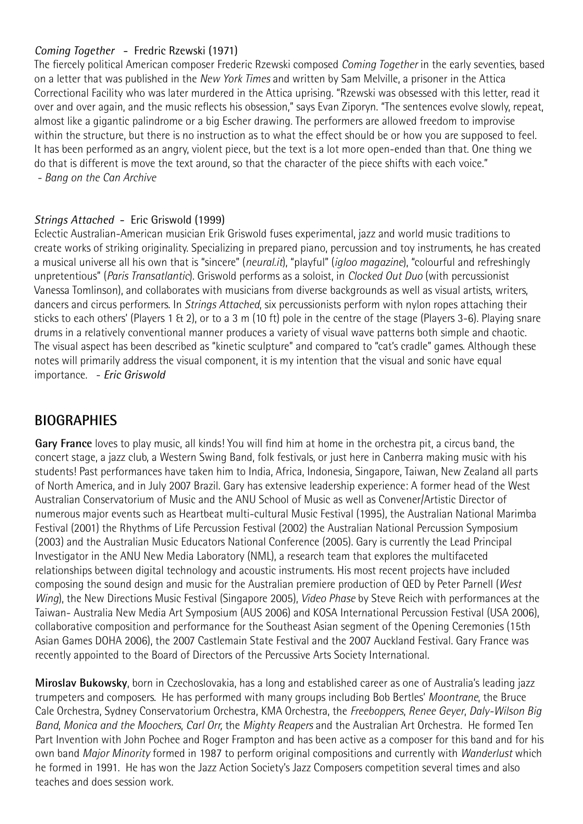#### *Coming Together* - Fredric Rzewski (1971)

The fiercely political American composer Frederic Rzewski composed *Coming Together* in the early seventies, based on a letter that was published in the *New York Times* and written by Sam Melville, a prisoner in the Attica Correctional Facility who was later murdered in the Attica uprising. "Rzewski was obsessed with this letter, read it over and over again, and the music reflects his obsession," says Evan Ziporyn. "The sentences evolve slowly, repeat, almost like a gigantic palindrome or a big Escher drawing. The performers are allowed freedom to improvise within the structure, but there is no instruction as to what the effect should be or how you are supposed to feel. It has been performed as an angry, violent piece, but the text is a lot more open-ended than that. One thing we do that is different is move the text around, so that the character of the piece shifts with each voice."  *- Bang on the Can Archive*

#### *Strings Attached* - Eric Griswold (1999)

Eclectic Australian-American musician Erik Griswold fuses experimental, jazz and world music traditions to create works of striking originality. Specializing in prepared piano, percussion and toy instruments, he has created a musical universe all his own that is "sincere" (*neural.it*), "playful" (*igloo magazine*), "colourful and refreshingly unpretentious" (*Paris Transatlantic*). Griswold performs as a soloist, in *Clocked Out Duo* (with percussionist Vanessa Tomlinson), and collaborates with musicians from diverse backgrounds as well as visual artists, writers, dancers and circus performers. In *Strings Attached*, six percussionists perform with nylon ropes attaching their sticks to each others' (Players 1 & 2), or to a 3 m (10 ft) pole in the centre of the stage (Players 3-6). Playing snare drums in a relatively conventional manner produces a variety of visual wave patterns both simple and chaotic. The visual aspect has been described as "kinetic sculpture" and compared to "cat's cradle" games. Although these notes will primarily address the visual component, it is my intention that the visual and sonic have equal importance. - *Eric Griswold*

#### **BIOGRAPHIES**

**Gary France** loves to play music, all kinds! You will find him at home in the orchestra pit, a circus band, the concert stage, a jazz club, a Western Swing Band, folk festivals, or just here in Canberra making music with his students! Past performances have taken him to India, Africa, Indonesia, Singapore, Taiwan, New Zealand all parts of North America, and in July 2007 Brazil. Gary has extensive leadership experience: A former head of the West Australian Conservatorium of Music and the ANU School of Music as well as Convener/Artistic Director of numerous major events such as Heartbeat multi-cultural Music Festival (1995), the Australian National Marimba Festival (2001) the Rhythms of Life Percussion Festival (2002) the Australian National Percussion Symposium (2003) and the Australian Music Educators National Conference (2005). Gary is currently the Lead Principal Investigator in the ANU New Media Laboratory (NML), a research team that explores the multifaceted relationships between digital technology and acoustic instruments. His most recent projects have included composing the sound design and music for the Australian premiere production of QED by Peter Parnell (*West Wing*), the New Directions Music Festival (Singapore 2005), *Video Phase* by Steve Reich with performances at the Taiwan- Australia New Media Art Symposium (AUS 2006) and KOSA International Percussion Festival (USA 2006), collaborative composition and performance for the Southeast Asian segment of the Opening Ceremonies (15th Asian Games DOHA 2006), the 2007 Castlemain State Festival and the 2007 Auckland Festival. Gary France was recently appointed to the Board of Directors of the Percussive Arts Society International.

**Miroslav Bukowsky**, born in Czechoslovakia, has a long and established career as one of Australia's leading jazz trumpeters and composers. He has performed with many groups including Bob Bertles' *Moontrane*, the Bruce Cale Orchestra, Sydney Conservatorium Orchestra, KMA Orchestra, the *Freeboppers*, *Renee Geyer*, *Daly-Wilson Big Band*, *Monica and the Moochers*, *Carl Orr,* the *Mighty Reapers* and the Australian Art Orchestra. He formed Ten Part Invention with John Pochee and Roger Frampton and has been active as a composer for this band and for his own band *Major Minority* formed in 1987 to perform original compositions and currently with *Wanderlust* which he formed in 1991. He has won the Jazz Action Society's Jazz Composers competition several times and also teaches and does session work.